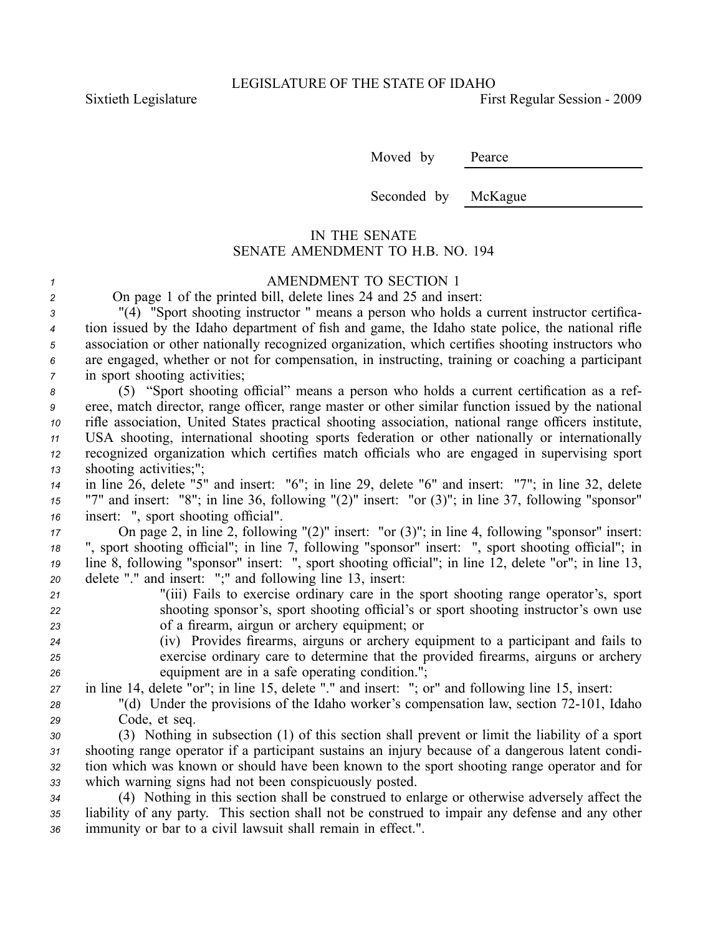Sixtieth Legislature **First** Regular Session - 2009

Moved by Pearce

Seconded by McKague

## IN THE SENATE SENATE AMENDMENT TO H.B. NO. 194

## *<sup>1</sup>* AMENDMENT TO SECTION 1

|  |  |  |  |  | On page 1 of the printed bill, delete lines 24 and 25 and insert: |
|--|--|--|--|--|-------------------------------------------------------------------|
|--|--|--|--|--|-------------------------------------------------------------------|

 "(4) "Sport shooting instructor " means <sup>a</sup> person who holds <sup>a</sup> current instructor certifica- tion issued by the Idaho department of fish and game, the Idaho state police, the national rifle association or other nationally recognized organization, which certifies shooting instructors who are engaged, whether or not for compensation, in instructing, training or coaching <sup>a</sup> participant in spor<sup>t</sup> shooting activities;

 (5) "Sport shooting official" means <sup>a</sup> person who holds <sup>a</sup> current certification as <sup>a</sup> ref- eree, match director, range officer, range master or other similar function issued by the national rifle association, United States practical shooting association, national range officers institute, USA shooting, international shooting sports federation or other nationally or internationally recognized organization which certifies match officials who are engaged in supervising spor<sup>t</sup> shooting activities;";

*<sup>14</sup>* in line 26, delete "5" and insert: "6"; in line 29, delete "6" and insert: "7"; in line 32, delete *<sup>15</sup>* "7" and insert: "8"; in line 36, following "(2)" insert: "or (3)"; in line 37, following "sponsor" *<sup>16</sup>* insert: ", spor<sup>t</sup> shooting official".

 On page 2, in line 2, following "(2)" insert: "or (3)"; in line 4, following "sponsor" insert: ", spor<sup>t</sup> shooting official"; in line 7, following "sponsor" insert: ", spor<sup>t</sup> shooting official"; in line 8, following "sponsor" insert: ", spor<sup>t</sup> shooting official"; in line 12, delete "or"; in line 13, delete "." and insert: ";" and following line 13, insert:

- *<sup>21</sup>* "(iii) Fails to exercise ordinary care in the spor<sup>t</sup> shooting range operator's, spor<sup>t</sup> *<sup>22</sup>* shooting sponsor's, spor<sup>t</sup> shooting official's or spor<sup>t</sup> shooting instructor's own use *<sup>23</sup>* of <sup>a</sup> firearm, airgun or archery equipment; or
- *<sup>24</sup>* (iv) Provides firearms, airguns or archery equipment to <sup>a</sup> participant and fails to *<sup>25</sup>* exercise ordinary care to determine that the provided firearms, airguns or archery *<sup>26</sup>* equipment are in <sup>a</sup> safe operating condition.";
- *<sup>27</sup>* in line 14, delete "or"; in line 15, delete "." and insert: "; or" and following line 15, insert:
- <sup>28</sup> "(d) Under the provisions of the Idaho worker's compensation law, section 72-101, Idaho *<sup>29</sup>* Code, et seq.

 (3) Nothing in subsection (1) of this section shall preven<sup>t</sup> or limit the liability of <sup>a</sup> spor<sup>t</sup> shooting range operator if <sup>a</sup> participant sustains an injury because of <sup>a</sup> dangerous latent condi- tion which was known or should have been known to the spor<sup>t</sup> shooting range operator and for which warning signs had not been conspicuously posted.

*<sup>34</sup>* (4) Nothing in this section shall be construed to enlarge or otherwise adversely affect the *<sup>35</sup>* liability of any party. This section shall not be construed to impair any defense and any other *<sup>36</sup>* immunity or bar to <sup>a</sup> civil lawsuit shall remain in effect.".